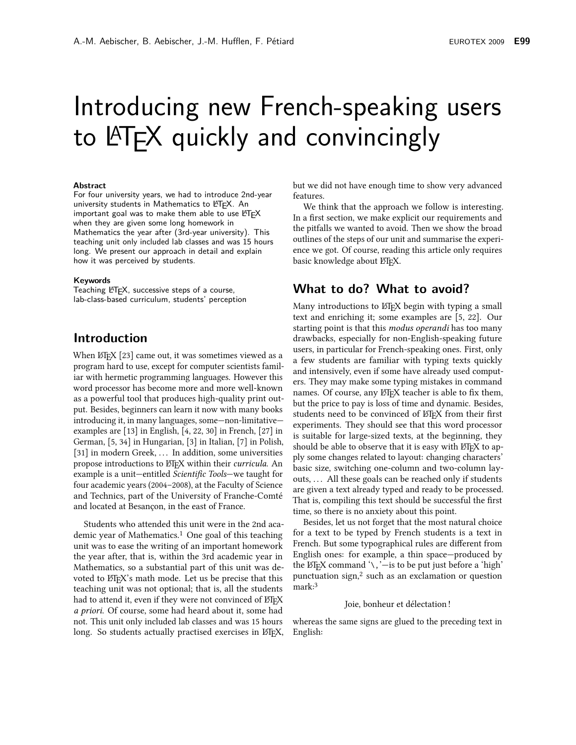# Introducing new French-speaking users to LATFX quickly and convincingly

#### **Abstract**

For four university years, we had to introduce 2nd-year university students in Mathematics to LATEX. An important goal was to make them able to use LATFX when they are given some long homework in Mathematics the year after (3rd-year university). This teaching unit only included lab classes and was 15 hours long. We present our approach in detail and explain how it was perceived by students.

#### Keywords

Teaching LATEX, successive steps of a course, lab-class-based curriculum, students' perception

### **Introduction**

When ETpX [23] came out, it was sometimes viewed as a program hard to use, except for computer scientists familiar with hermetic programming languages. However this word processor has become more and more well-known as a powerful tool that produces high-quality print output. Besides, beginners can learn it now with many books introducing it, in many languages, some-non-limitativeexamples are  $[13]$  in English,  $[4, 22, 30]$  in French,  $[27]$  in German, [5, 34] in Hungarian, [3] in Italian, [7] in Polish, [31] in modern Greek, ... In addition, some universities propose introductions to ETFX within their curricula. An example is a unit-entitled Scientific Tools-we taught for four academic years (2004–2008), at the Faculty of Science and Technics, part of the University of Franche-Comté and located at Besancon, in the east of France.

Students who attended this unit were in the 2nd academic year of Mathematics.<sup>1</sup> One goal of this teaching unit was to ease the writing of an important homework the year after, that is, within the 3rd academic year in Mathematics, so a substantial part of this unit was devoted to ETFX's math mode. Let us be precise that this teaching unit was not optional; that is, all the students had to attend it, even if they were not convinced of LATEX *a priori.* Of course, some had heard about it, some had not. This unit only included lab classes and was 15 hours long. So students actually practised exercises in ETFX, but we did not have enough time to show very advanced features

We think that the approach we follow is interesting. In a first section, we make explicit our requirements and the pitfalls we wanted to avoid. Then we show the broad outlines of the steps of our unit and summarise the experience we got. Of course, reading this article only requires basic knowledge about LTFX.

## What to do? What to avoid?

Many introductions to LTFX begin with typing a small text and enriching it; some examples are [5, 22]. Our starting point is that this *modus operandi* has too many drawbacks, especially for non-English-speaking future users, in particular for French-speaking ones. First, only a few students are familiar with typing texts quickly and intensively, even if some have already used computers. They may make some typing mistakes in command names. Of course, any ETEX teacher is able to fix them, but the price to pay is loss of time and dynamic. Besides, students need to be convinced of ETFX from their first experiments. They should see that this word processor is suitable for large-sized texts, at the beginning, they should be able to observe that it is easy with  $\mathbb{E} F$ . It is not if the should be able to apply some changes related to layout: changing characters' basic size, switching one-column and two-column layouts, ... All these goals can be reached only if students are given a text already typed and ready to be processed. That is, compiling this text should be successful the first time, so there is no anxiety about this point.

Besides, let us not forget that the most natural choice for a text to be typed by French students is a text in French. But some typographical rules are different from English ones: for example, a thin space—produced by the ET<sub>F</sub>X command  $\lambda$ ,  $\dot{\lambda}$  is to be put just before a 'high' punctuation sign,<sup>2</sup> such as an exclamation or question mark:<sup>3</sup>

#### Ioje, bonheur et délectation!

whereas the same signs are glued to the preceding text in English: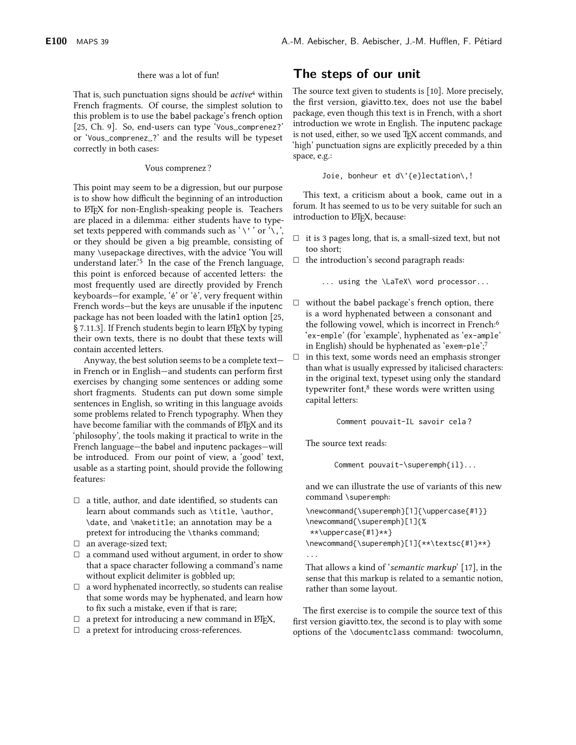#### there was a lot of fun!

That is, such punctuation signs should be *active*<sup>4</sup> within French fragments. Of course, the simplest solution to this problem is to use the babel package's french option [25, Ch. 9]. So, end-users can type 'Vous\_comprenez?' or 'Vous\_comprenez\_?' and the results will be typeset correctly in both cases:

#### Vous comprenez?

This point may seem to be a digression, but our purpose is to show how difficult the beginning of an introduction to ETEX for non-English-speaking people is. Teachers are placed in a dilemma: either students have to typeset texts peppered with commands such as '\'' or '\,', or they should be given a big preamble, consisting of many \usepackage directives, with the advice 'You will understand later.'<sup>5</sup> In the case of the French language, this point is enforced because of accented letters: the most frequently used are directly provided by French keyboards-for example, 'é' or 'è', very frequent within French words-but the keys are unusable if the inputenc package has not been loaded with the latin1 option [25, § 7.11.3]. If French students begin to learn LATEX by typing their own texts, there is no doubt that these texts will contain accented letters.

Anyway, the best solution seems to be a complete textin French or in English-and students can perform first exercises by changing some sentences or adding some short fragments. Students can put down some simple sentences in English, so writing in this language avoids some problems related to French typography. When they have become familiar with the commands of ETFX and its 'philosophy', the tools making it practical to write in the French language—the babel and inputenc packages—will be introduced. From our point of view, a 'good' text, usable as a starting point, should provide the following features:

- $\Box$  a title, author, and date identified, so students can learn about commands such as \title, \author, \date, and \maketitle; an annotation may be a pretext for introducing the \thanks command;
- $\Box$  an average-sized text;
- $\Box$  a command used without argument, in order to show that a space character following a command's name without explicit delimiter is gobbled up;
- $\Box$  a word hyphenated incorrectly, so students can realise that some words may be hyphenated, and learn how to fix such a mistake, even if that is rare;
- $\Box$  a pretext for introducing a new command in ETEX,
- $\Box$  a pretext for introducing cross-references.

# The steps of our unit

The source text given to students is [10]. More precisely, the first version, giavitto.tex, does not use the babel package, even though this text is in French, with a short introduction we wrote in English. The inputenc package is not used, either, so we used TEX accent commands, and 'high' punctuation signs are explicitly preceded by a thin space, e.g.:

Joie, bonheur et d\'{e}lectation\,!

This text, a criticism about a book, came out in a forum. It has seemed to us to be very suitable for such an introduction to ETFX, because:

- $\Box$  it is 3 pages long, that is, a small-sized text, but not too short;
- $\Box$  the introduction's second paragraph reads:

... using the \LaTeX\ word processor...

- $\Box$  without the babel package's french option, there is a word hyphenated between a consonant and the following vowel, which is incorrect in French:<sup>6</sup> 'ex-emple' (for 'example', hyphenated as 'ex-ample' in English) should be hyphenated as 'exem-ple';7
- $\Box$ in this text, some words need an emphasis stronger than what is usually expressed by italicised characters: in the original text, typeset using only the standard typewriter font,<sup>8</sup> these words were written using capital letters:

Comment pouvait-IL savoir cela?

The source text reads:

Comment pouvait-\superemph{il}...

and we can illustrate the use of variants of this new command \superemph:

```
\newcommand{\superemph}[1]{\uppercase{#1}}
\newcommand{\superemph}[1]{%
 **\uppercase{#1}**}
\newcommand{\superemph}[1]{**\textsc{#1}**}
```
That allows a kind of 'semantic markup' [17], in the sense that this markup is related to a semantic notion, rather than some layout.

The first exercise is to compile the source text of this first version giavitto.tex, the second is to play with some options of the \documentclass command: twocolumn,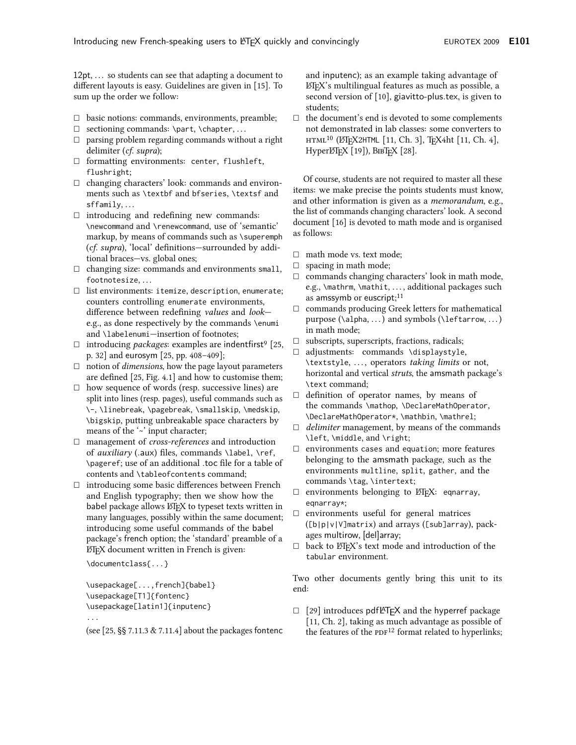12pt, ... so students can see that adapting a document to different layouts is easy. Guidelines are given in [15]. To sum up the order we follow:

- $\Box$  basic notions: commands, environments, preamble;
- $\Box$  sectioning commands: \part, \chapter, ...
- parsing problem regarding commands without a right  $\Box$ delimiter (*cf. supra*);
- $\Box$  formatting environments: center, flushleft, flushright;
- $\Box$  changing characters' look: commands and environments such as \textbf and bfseries, \textsf and  $sffamily, \ldots$
- $\Box$  introducing and redefining new commands: \newcommand and \renewcommand, use of 'semantic' markup, by means of commands such as \superemph (cf. supra), 'local' definitions-surrounded by additional braces-vs. global ones;
- $\Box$  changing size: commands and environments small, footnotesize, ...
- $\Box$  list environments: itemize, description, enumerate; counters controlling enumerate environments, difference between redefining values and looke.g., as done respectively by the commands \enumi and \labelenumi-insertion of footnotes;
- $\Box$  introducing *packages*: examples are indentfirst<sup>9</sup> [25, p. 32] and eurosym [25, pp. 408-409];
- $\Box$  notion of *dimensions*, how the page layout parameters are defined [25, Fig. 4.1] and how to customise them;
- $\Box$  how sequence of words (resp. successive lines) are split into lines (resp. pages), useful commands such as \-,\linebreak,\pagebreak,\smallskip,\medskip, \bigskip, putting unbreakable space characters by means of the '~' input character;
- $\Box$  management of *cross-references* and introduction of *auxiliary* (.aux) files, commands \label, \ref, \pageref; use of an additional toc file for a table of contents and \tableofcontents command;
- $\Box$  introducing some basic differences between French and English typography; then we show how the babel package allows ETEX to typeset texts written in many languages, possibly within the same document; introducing some useful commands of the babel package's french option; the 'standard' preamble of a ETFX document written in French is given:

\documentclass{...}

\usepackage[...,french]{babel} \usepackage[T1]{fontenc} \usepackage[latin1]{inputenc}

 $\ddotsc$ 

(see  $[25, \S\S 7.11.3 \& 7.11.4]$  about the packages fontenc

and inputenc); as an example taking advantage of L'IEX's multilingual features as much as possible, a second version of [10], giavitto-plus.tex, is given to students:

 $\Box$ the document's end is devoted to some complements not demonstrated in lab classes: some converters to HTML<sup>10</sup> (L'EX2HTML [11, Ch. 3], TEX4ht [11, Ch. 4], НурегЕЛЕХ [19]), ВІВТЕХ [28].

Of course, students are not required to master all these items: we make precise the points students must know, and other information is given as a *memorandum*, e.g., the list of commands changing characters' look. A second document [16] is devoted to math mode and is organised as follows:

- $\Box$  math mode vs. text mode;
- $\Box$  spacing in math mode;
- $\Box$  commands changing characters' look in math mode, e.g., \mathrm, \mathit, ..., additional packages such as amssymb or euscript;<sup>11</sup>
- commands producing Greek letters for mathematical  $\Box$ purpose ( $\alpha, \ldots$ ) and symbols ( $\left(\text{arrows}, \ldots\right)$ in math mode;
- $\square$  subscripts, superscripts, fractions, radicals;
- □ adjustments: commands \displaystyle, \textstyle, ..., operators taking limits or not, horizontal and vertical struts, the amsmath package's \text command;
- $\Box$  definition of operator names, by means of the commands \mathop, \DeclareMathOperator, \DeclareMathOperator\*, \mathbin, \mathrel;
- $\Box$ *delimiter* management, by means of the commands \left, \middle, and \right;
- $\Box$  environments cases and equation; more features belonging to the amsmath package, such as the environments multline, split, gather, and the commands \tag, \intertext;
- $\Box$  environments belonging to  $E E X$ : eqnarray, eqnarray\*;
- $\Box$  environments useful for general matrices ([b|p|v|V]matrix) and arrays ([sub]array), packages multirow, [del]array;
- $\Box$ back to LAT<sub>F</sub>X's text mode and introduction of the tabular environment.

Two other documents gently bring this unit to its end:

 $\Box$  [29] introduces pdfleT<sub>E</sub>X and the hyperref package [11, Ch. 2], taking as much advantage as possible of the features of the PDF<sup>12</sup> format related to hyperlinks;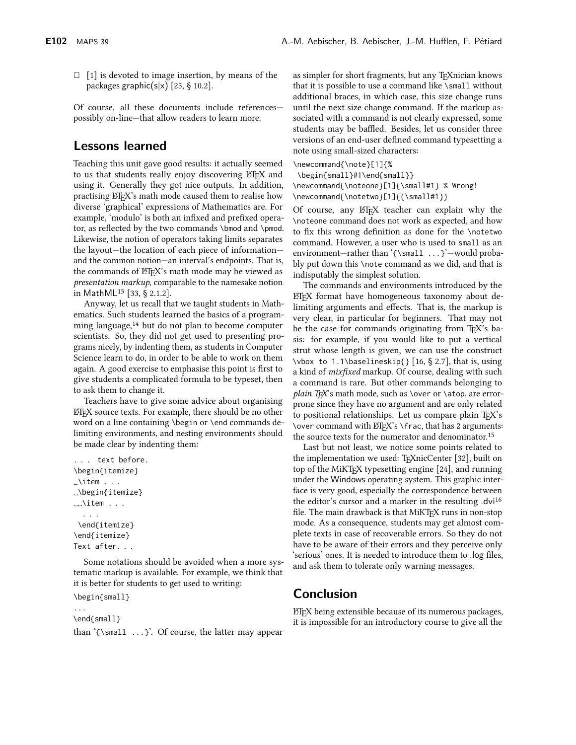$\Box$  [1] is devoted to image insertion, by means of the packages graphic( $s|x$ ) [25, § 10.2].

Of course, all these documents include referencespossibly on-line-that allow readers to learn more.

## **Lessons learned**

Teaching this unit gave good results: it actually seemed to us that students really enjoy discovering ETFX and using it. Generally they got nice outputs. In addition, practising LTFX's math mode caused them to realise how diverse 'graphical' expressions of Mathematics are. For example, 'modulo' is both an infixed and prefixed operator, as reflected by the two commands \bmod and \pmod. Likewise, the notion of operators taking limits separates the layout-the location of each piece of informationand the common notion-an interval's endpoints. That is, the commands of LTFX's math mode may be viewed as *presentation markup*, comparable to the namesake notion in MathML<sup>13</sup> [33, § 2.1.2].

Anyway, let us recall that we taught students in Mathematics. Such students learned the basics of a programming language,<sup>14</sup> but do not plan to become computer scientists. So, they did not get used to presenting programs nicely, by indenting them, as students in Computer Science learn to do, in order to be able to work on them again. A good exercise to emphasise this point is first to give students a complicated formula to be typeset, then to ask them to change it.

Teachers have to give some advice about organising L'EN source texts. For example, there should be no other word on a line containing \begin or \end commands delimiting environments, and nesting environments should be made clear by indenting them:

```
... text before.
\begin{itemize}
\mathcal{L} item \ldots_\begin{itemize}
\cup litem \ldots\mathbb{R}^2\end{itemize}
\end{itemize}
Text after. . .
```
Some notations should be avoided when a more systematic markup is available. For example, we think that it is better for students to get used to writing:

```
\begin{small}
```
\end{small}

than '{\small ...}'. Of course, the latter may appear

as simpler for short fragments, but any T<sub>E</sub>Xnician knows that it is possible to use a command like \small without additional braces, in which case, this size change runs until the next size change command. If the markup associated with a command is not clearly expressed, some students may be baffled. Besides, let us consider three versions of an end-user defined command typesetting a note using small-sized characters:

\newcommand{\note}[1]{%

\begin{small}#1\end{small}}

\newcommand{\noteone}[1]{\small#1} % Wrong! \newcommand{\notetwo}[1]{{\small#1}}

Of course, any LT<sub>F</sub>X teacher can explain why the \noteone command does not work as expected, and how to fix this wrong definition as done for the \notetwo command. However, a user who is used to small as an environment-rather than '{\small ...}'-would probably put down this \note command as we did, and that is indisputably the simplest solution.

The commands and environments introduced by the ETFX format have homogeneous taxonomy about delimiting arguments and effects. That is, the markup is very clear, in particular for beginners. That may not be the case for commands originating from T<sub>F</sub>X's basis: for example, if you would like to put a vertical strut whose length is given, we can use the construct \vbox to 1.1\baselineskip{} [16, § 2.7], that is, using a kind of *mixfixed* markup. Of course, dealing with such a command is rare. But other commands belonging to plain T<sub>F</sub>X's math mode, such as \over or \atop, are errorprone since they have no argument and are only related to positional relationships. Let us compare plain TFX's \over command with LATEX's \frac, that has 2 arguments: the source texts for the numerator and denominator.<sup>15</sup>

Last but not least, we notice some points related to the implementation we used: T<sub>E</sub>XnicCenter [32], built on top of the MiKTFX typesetting engine [24], and running under the Windows operating system. This graphic interface is very good, especially the correspondence between the editor's cursor and a marker in the resulting .dvi<sup>16</sup> file. The main drawback is that MiKTEX runs in non-stop mode. As a consequence, students may get almost complete texts in case of recoverable errors. So they do not have to be aware of their errors and they perceive only 'serious' ones. It is needed to introduce them to log files, and ask them to tolerate only warning messages.

# **Conclusion**

LIFX being extensible because of its numerous packages, it is impossible for an introductory course to give all the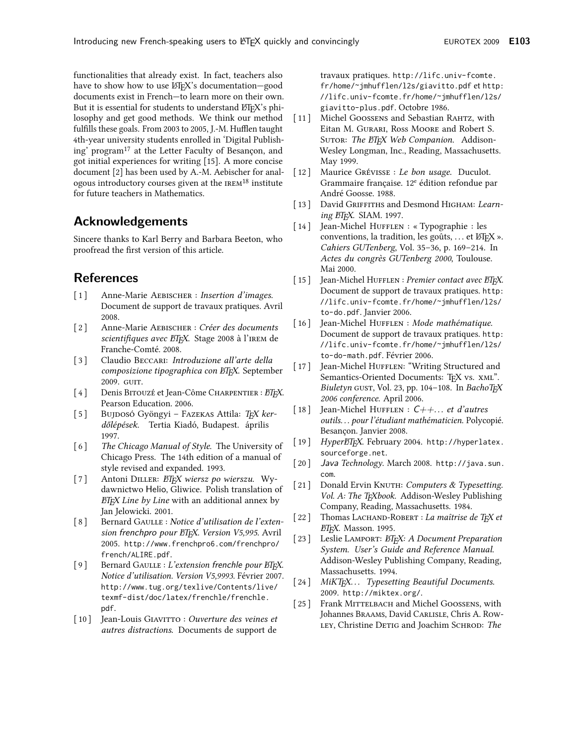functionalities that already exist. In fact, teachers also have to show how to use LTEX's documentation-good documents exist in French-to learn more on their own. But it is essential for students to understand ETFX's philosophy and get good methods. We think our method fulfills these goals. From 2003 to 2005, J.-M. Hufflen taught 4th-year university students enrolled in 'Digital Publishing' program<sup>17</sup> at the Letter Faculty of Besançon, and got initial experiences for writing [15]. A more concise document [2] has been used by A.-M. Aebischer for analogous introductory courses given at the IREM<sup>18</sup> institute for future teachers in Mathematics.

# **Acknowledgements**

Sincere thanks to Karl Berry and Barbara Beeton, who proofread the first version of this article.

# **References**

- $\lceil 1 \rceil$ Anne-Marie AEBISCHER : Insertion d'images. Document de support de travaux pratiques. Avril 2008.
- Anne-Marie AEBISCHER : Créer des documents  $\lceil 2 \rceil$ scientifiques avec ETEX. Stage 2008 à l'IREM de Franche-Comté. 2008.
- $\lceil 3 \rceil$ Claudio BECCARI: Introduzione all'arte della composizione tipographica con ETFX. September 2009. GUIT.
- $[4]$ Denis BITOUZÉ et Jean-Côme CHARPENTIER : ETEX. Pearson Education. 2006.
- $\begin{bmatrix} 5 \end{bmatrix}$ Bujdosó Gyöngyi – FAZEKAS Attila: TFX kerdőlépések. Tertia Kiadó, Budapest. április 1997.
- $\lceil 6 \rceil$ The Chicago Manual of Style. The University of Chicago Press. The 14th edition of a manual of style revised and expanded. 1993.
- $[7]$ Antoni DILLER: ETEX wiersz po wierszu. Wydawnictwo Helio, Gliwice. Polish translation of **ETEX** Line by Line with an additional annex by Jan Jelowicki. 2001.
- $\left[ 8 \right]$ Bernard GAULLE : Notice d'utilisation de l'extension frenchpro pour ETEX. Version V5,995. Avril 2005. http://www.frenchpro6.com/frenchpro/ french/ALIRE.pdf.
- $\lceil 9 \rceil$ Bernard GAULLE : L'extension frenchle pour ETFX. Notice d'utilisation. Version V5,9993. Février 2007. http://www.tug.org/texlive/Contents/live/ texmf-dist/doc/latex/frenchle/frenchle.  $ndf$
- [10] Jean-Louis GIAVITTO : Ouverture des veines et *autres distractions.* Documents de support de

travaux pratiques. http://lifc.univ-fcomte. fr/home/~jmhufflen/l2s/giavitto.pdf ethttp: //lifc.univ-fcomte.fr/home/~jmhufflen/l2s/ giavitto-plus.pdf. Octobre 1986.

- $[11]$ Michel GOOSSENS and Sebastian RAHTZ, with Eitan M. GURARI, Ross MOORE and Robert S. SUTOR: The ETEX Web Companion. Addison-Wesley Longman, Inc., Reading, Massachusetts. May 1999.
- $\lceil 12 \rceil$ Maurice GRÉVISSE : Le bon usage. Duculot. Grammaire française. 12<sup>e</sup> édition refondue par André Goosse. 1988.
- [13] David GRIFFITHS and Desmond HIGHAM: Learning ETFX. SIAM. 1997.
- [14] Jean-Michel HUFFLEN : «Typographie : les conventions, la tradition, les goûts, ... et L'FEX ». Cahiers GUTenberg, Vol. 35-36, p. 169-214. In Actes du congrès GUTenberg 2000, Toulouse. Mai 2000.
- $\left[15\right]$ Jean-Michel HUFFLEN : Premier contact avec ETFX. Document de support de travaux pratiques. http: //lifc.univ-fcomte.fr/home/~jmhufflen/l2s/ to-do.pdf. Janvier 2006.
- [16] Jean-Michel HUFFLEN : Mode mathématique. Document de support de travaux pratiques. http: //lifc.univ-fcomte.fr/home/~jmhufflen/l2s/ to-do-math.pdf. Février 2006.
- $[17]$ Jean-Michel HUFFLEN: "Writing Structured and Semantics-Oriented Documents: TEX vs. XML". Biuletyn GUST, Vol. 23, pp. 104-108. In BachoTEX 2006 conference. April 2006.
- $[18]$ Jean-Michel HUFFLEN :  $C++...$  et d'autres outils... pour l'étudiant mathématicien. Polycopié. Besançon. Janvier 2008.
- [19] HyperETEX. February 2004. http://hyperlatex. sourceforge.net.
- $\lceil 20 \rceil$ Java Technology. March 2008. http://java.sun.  $com$
- $[21]$ Donald Ervin KNUTH: Computers & Typesetting. Vol. A: The TEXbook. Addison-Wesley Publishing Company, Reading, Massachusetts. 1984.
- Thomas LACHAND-ROBERT : La maîtrise de TEX et  $\lceil 22 \rceil$ BTEX. Masson. 1995.
- [23] Leslie LAMPORT: ETEX: A Document Preparation System. User's Guide and Reference Manual. Addison-Wesley Publishing Company, Reading, Massachusetts. 1994.
- [24] MiKT<sub>F</sub>X... Typesetting Beautiful Documents. 2009. http://miktex.org/.
- Frank MITTELBACH and Michel GOOSSENS, with  $[25]$ Johannes BRAAMS, David CARLISLE, Chris A. Row-LEY, Christine DETIG and Joachim SCHROD: The